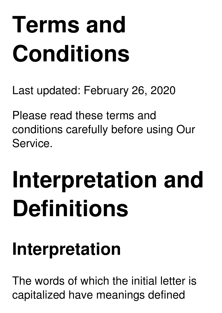## **Terms and Conditions**

Last updated: February 26, 2020

Please read these terms and conditions carefully before using Our Service.

## **Interpretation and Definitions**

#### **Interpretation**

The words of which the initial letter is capitalized have meanings defined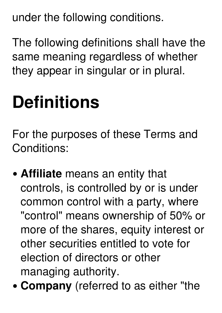under the following conditions.

The following definitions shall have the same meaning regardless of whether they appear in singular or in plural.

#### **Definitions**

For the purposes of these Terms and Conditions:

- **Affiliate** means an entity that controls, is controlled by or is under common control with a party, where "control" means ownership of 50% or more of the shares, equity interest or other securities entitled to vote for election of directors or other managing authority.
- **Company** (referred to as either "the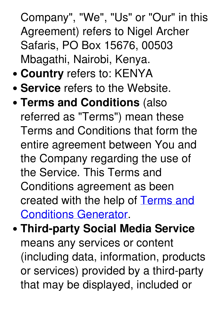Company" , "We" , "Us" or "Our" in this Agreement) refers to Nigel Archer Safaris, PO Box 15676, 00503 Mbagathi, Nairobi, Kenya.

- **Country** refers to: KENYA
- **Service** refers to the Website.
- **Terms and Conditions** (also referred as "Terms") mean these Terms and Conditions that form the entire agreement between You and the Company regarding the use of the Service. This Terms and Conditions agreement as been created with the help of Terms and Conditions [Generator.](https://www.termsfeed.com/terms-conditions-generator/)
- **Third-party Social Media Service** means any services or content (including data, information, products or services) provided by a third-party that may be displayed, included or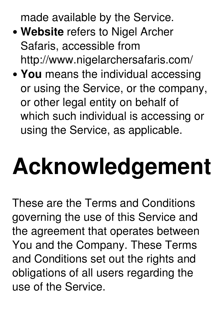made available by the Service.

- **Website** refers to Nigel Archer Safaris, accessible from http://www.nigelarchersafaris.com/
- **You** means the individual accessing or using the Service, or the company, or other legal entity on behalf of which such individual is accessing or using the Service, as applicable.

## **Acknowledgement**

These are the Terms and Conditions governing the use of this Service and the agreement that operates between You and the Company. These Terms and Conditions set out the rights and obligations of all users regarding the use of the Service.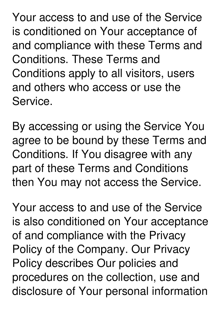Your access to and use of the Service is conditioned on Your acceptance of and compliance with these Terms and Conditions. These Terms and Conditions apply to all visitors, users and others who access or use the Service.

By accessing or using the Service You agree to be bound by these Terms and Conditions. If You disagree with any part of these Terms and Conditions then You may not access the Service.

Your access to and use of the Service is also conditioned on Your acceptance of and compliance with the Privacy Policy of the Company. Our Privacy Policy describes Our policies and procedures on the collection, use and disclosure of Your personal information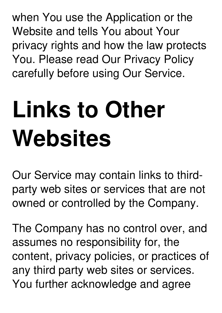when You use the Application or the Website and tells You about Your privacy rights and how the law protects You. Please read Our Privacy Policy carefully before using Our Service.

## **Links to Other Websites**

Our Service may contain links to third party web sites or services that are not owned or controlled by the Company.

The Company has no control over, and assumes no responsibility for, the content, privacy policies, or practices of any third party web sites or services. You further acknowledge and agree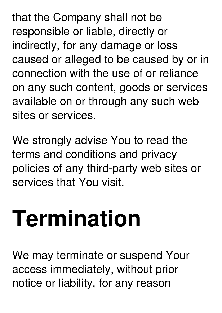that the Company shall not be responsible or liable, directly or indirectly, for any damage or loss caused or alleged to be caused by or in connection with the use of or reliance on any such content, goods or services available on or through any such web sites or services.

We strongly advise You to read the terms and conditions and privacy policies of any third-party web sites or services that You visit.

#### **Termination**

We may terminate or suspend Your access immediately, without prior notice or liability, for any reason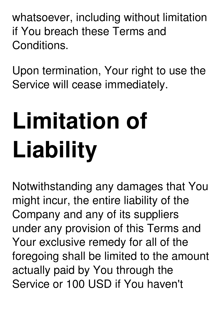whatsoever, including without limitation if You breach these Terms and Conditions.

Upon termination, Your right to use the Service will cease immediately.

# **Limitation of Liability**

Notwithstanding any damages that You might incur, the entire liability of the Company and any of its suppliers under any provision of this Terms and Your exclusive remedy for all of the foregoing shall be limited to the amount actually paid by You through the Service or 100 USD if You haven't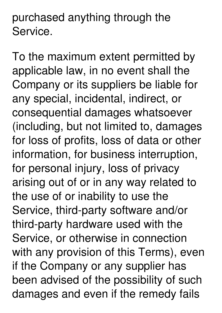purchased anything through the Service.

To the maximum extent permitted by applicable law, in no event shall the Company or its suppliers be liable for any special, incidental, indirect, or consequential damages whatsoever (including, but not limited to, damages for loss of profits, loss of data or other information, for business interruption, for personal injury, loss of privacy arising out of or in any way related to the use of or inability to use the Service, third-party software and/or third-party hardware used with the Service, or otherwise in connection with any provision of this Terms), even if the Company or any supplier has been advised of the possibility of such damages and even if the remedy fails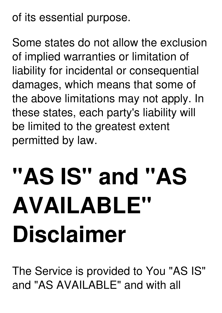#### of its essential purpose.

Some states do not allow the exclusion of implied warranties or limitation of liability for incidental or consequential damages, which means that some of the above limitations may not apply. In these states, each party's liability will be limited to the greatest extent permitted by law.

## **"AS IS" and "AS AVAILABLE" Disclaimer**

The Service is provided to You "AS IS" and "AS AVAILABLE" and with all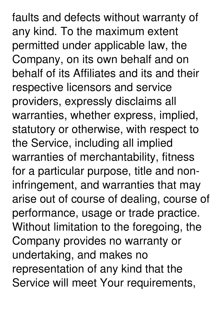faults and defects without warranty of any kind. To the maximum extent permitted under applicable law, the Company, on its own behalf and on behalf of its Affiliates and its and their respective licensors and service providers, expressly disclaims all warranties, whether express, implied, statutory or otherwise, with respect to the Service, including all implied warranties of merchantability, fitness for a particular purpose, title and noninfringement, and warranties that may arise out of course of dealing, course of performance, usage or trade practice. Without limitation to the foregoing, the Company provides no warranty or undertaking, and makes no representation of any kind that the Service will meet Your requirements,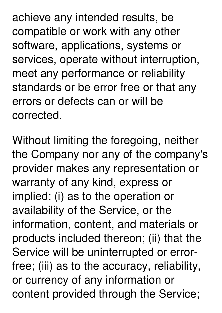achieve any intended results, be compatible or work with any other software, applications, systems or services, operate without interruption, meet any performance or reliability standards or be error free or that any errors or defects can or will be corrected.

Without limiting the foregoing, neither the Company nor any of the company's provider makes any representation or warranty of any kind, express or implied: (i) as to the operation or availability of the Service, or the information, content, and materials or products included thereon; (ii) that the Service will be uninterrupted or errorfree; (iii) as to the accuracy, reliability, or currency of any information or content provided through the Service;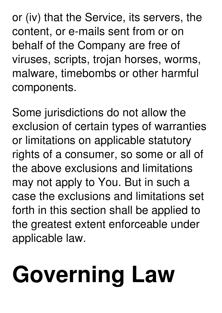or (iv) that the Service, its servers, the content, or e-mails sent from or on behalf of the Company are free of viruses, scripts, trojan horses, worms, malware, timebombs or other harmful components.

Some jurisdictions do not allow the exclusion of certain types of warranties or limitations on applicable statutory rights of a consumer, so some or all of the above exclusions and limitations may not apply to You. But in such a case the exclusions and limitations set forth in this section shall be applied to the greatest extent enforceable under applicable law.

# **Governing Law**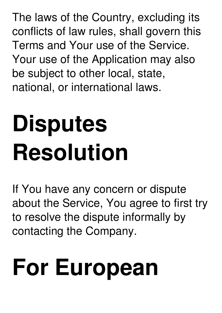The laws of the Country, excluding its conflicts of law rules, shall govern this Terms and Your use of the Service. Your use of the Application may also be subject to other local, state, national, or international laws.

## **Disputes Resolution**

If You have any concern or dispute about the Service, You agree to first try to resolve the dispute informally by contacting the Company.

#### **For European**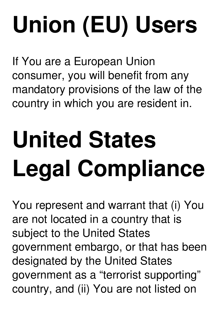# **Union (EU) Users**

If You are a European Union consumer, you will benefit from any mandatory provisions of the law of the country in which you are resident in.

# **United States Legal Compliance**

You represent and warrant that (i) You are not located in a country that is subject to the United States government embargo, or that has been designated by the United States government as a "terrorist supporting" country, and (ii) You are not listed on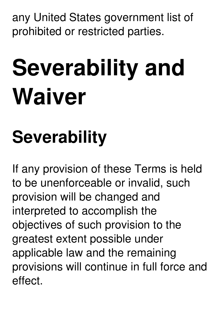any United States government list of prohibited or restricted parties.

## **Severability and Waiver**

#### **Severability**

If any provision of these Terms is held to be unenforceable or invalid, such provision will be changed and interpreted to accomplish the objectives of such provision to the greatest extent possible under applicable law and the remaining provisions will continue in full force and effect.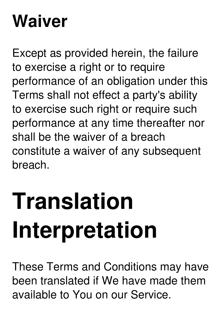#### **Waiver**

Except as provided herein, the failure to exercise a right or to require performance of an obligation under this Terms shall not effect a party's ability to exercise such right or require such performance at any time thereafter nor shall be the waiver of a breach constitute a waiver of any subsequent breach.

#### **Translation Interpretation**

These Terms and Conditions may have been translated if We have made them available to You on our Service.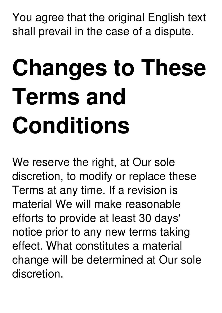You agree that the original English text shall prevail in the case of a dispute.

## **Changes to These Terms and Conditions**

We reserve the right, at Our sole discretion, to modify or replace these Terms at any time. If a revision is material We will make reasonable efforts to provide at least 30 days' notice prior to any new terms taking effect. What constitutes a material change will be determined at Our sole discretion.